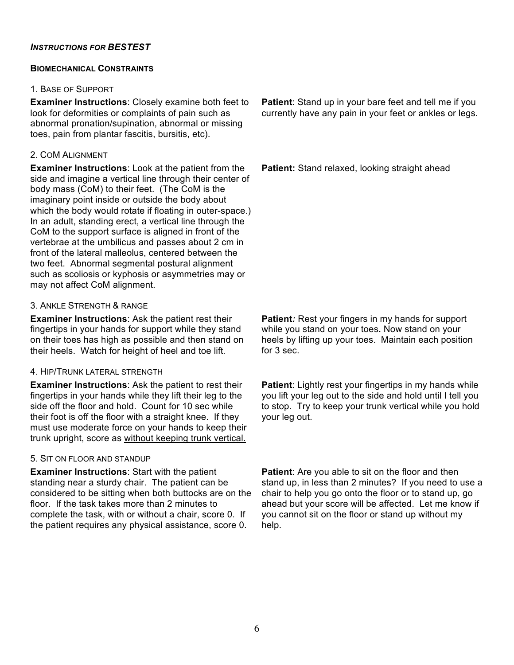## *INSTRUCTIONS FOR BESTEST*

### **BIOMECHANICAL CONSTRAINTS**

### 1. BASE OF SUPPORT

**Examiner Instructions**: Closely examine both feet to look for deformities or complaints of pain such as abnormal pronation/supination, abnormal or missing toes, pain from plantar fascitis, bursitis, etc).

## 2. COM ALIGNMENT

**Examiner Instructions**: Look at the patient from the side and imagine a vertical line through their center of body mass (CoM) to their feet. (The CoM is the imaginary point inside or outside the body about which the body would rotate if floating in outer-space.) In an adult, standing erect, a vertical line through the CoM to the support surface is aligned in front of the vertebrae at the umbilicus and passes about 2 cm in front of the lateral malleolus, centered between the two feet. Abnormal segmental postural alignment such as scoliosis or kyphosis or asymmetries may or may not affect CoM alignment.

## 3. ANKLE STRENGTH & RANGE

**Examiner Instructions**: Ask the patient rest their fingertips in your hands for support while they stand on their toes has high as possible and then stand on their heels. Watch for height of heel and toe lift.

# 4. HIP/TRUNK LATERAL STRENGTH

**Examiner Instructions**: Ask the patient to rest their fingertips in your hands while they lift their leg to the side off the floor and hold. Count for 10 sec while their foot is off the floor with a straight knee. If they must use moderate force on your hands to keep their trunk upright, score as without keeping trunk vertical.

## 5. SIT ON FLOOR AND STANDUP

**Examiner Instructions**: Start with the patient standing near a sturdy chair. The patient can be considered to be sitting when both buttocks are on the floor. If the task takes more than 2 minutes to complete the task, with or without a chair, score 0. If the patient requires any physical assistance, score 0.

**Patient**: Stand up in your bare feet and tell me if you currently have any pain in your feet or ankles or legs.

**Patient:** Stand relaxed, looking straight ahead

**Patient***:* Rest your fingers in my hands for support while you stand on your toes*.* Now stand on your heels by lifting up your toes. Maintain each position for 3 sec.

**Patient:** Lightly rest your fingertips in my hands while you lift your leg out to the side and hold until I tell you to stop. Try to keep your trunk vertical while you hold your leg out.

**Patient**: Are you able to sit on the floor and then stand up, in less than 2 minutes? If you need to use a chair to help you go onto the floor or to stand up, go ahead but your score will be affected. Let me know if you cannot sit on the floor or stand up without my help.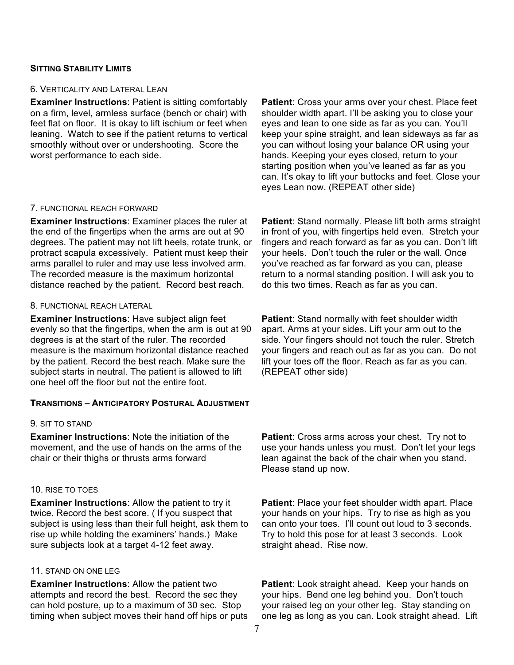## **SITTING STABILITY LIMITS**

#### 6. VERTICALITY AND LATERAL LEAN

**Examiner Instructions**: Patient is sitting comfortably on a firm, level, armless surface (bench or chair) with feet flat on floor. It is okay to lift ischium or feet when leaning. Watch to see if the patient returns to vertical smoothly without over or undershooting. Score the worst performance to each side.

#### 7. FUNCTIONAL REACH FORWARD

**Examiner Instructions**: Examiner places the ruler at the end of the fingertips when the arms are out at 90 degrees. The patient may not lift heels, rotate trunk, or protract scapula excessively. Patient must keep their arms parallel to ruler and may use less involved arm. The recorded measure is the maximum horizontal distance reached by the patient. Record best reach.

#### 8. FUNCTIONAL REACH LATERAL

**Examiner Instructions**: Have subject align feet evenly so that the fingertips, when the arm is out at 90 degrees is at the start of the ruler. The recorded measure is the maximum horizontal distance reached by the patient. Record the best reach. Make sure the subject starts in neutral. The patient is allowed to lift one heel off the floor but not the entire foot.

#### **TRANSITIONS – ANTICIPATORY POSTURAL ADJUSTMENT**

#### 9. SIT TO STAND

**Examiner Instructions**: Note the initiation of the movement, and the use of hands on the arms of the chair or their thighs or thrusts arms forward

#### 10. RISE TO TOES

**Examiner Instructions**: Allow the patient to try it twice. Record the best score. ( If you suspect that subject is using less than their full height, ask them to rise up while holding the examiners' hands.) Make sure subjects look at a target 4-12 feet away.

#### 11. STAND ON ONE LEG

**Examiner Instructions**: Allow the patient two attempts and record the best. Record the sec they can hold posture, up to a maximum of 30 sec. Stop timing when subject moves their hand off hips or puts **Patient**: Cross your arms over your chest. Place feet shoulder width apart. I'll be asking you to close your eyes and lean to one side as far as you can. You'll keep your spine straight, and lean sideways as far as you can without losing your balance OR using your hands. Keeping your eyes closed, return to your starting position when you've leaned as far as you can. It's okay to lift your buttocks and feet. Close your eyes Lean now. (REPEAT other side)

**Patient**: Stand normally. Please lift both arms straight in front of you, with fingertips held even. Stretch your fingers and reach forward as far as you can. Don't lift your heels. Don't touch the ruler or the wall. Once you've reached as far forward as you can, please return to a normal standing position. I will ask you to do this two times. Reach as far as you can.

**Patient**: Stand normally with feet shoulder width apart. Arms at your sides. Lift your arm out to the side. Your fingers should not touch the ruler. Stretch your fingers and reach out as far as you can. Do not lift your toes off the floor. Reach as far as you can. (REPEAT other side)

**Patient**: Cross arms across your chest. Try not to use your hands unless you must. Don't let your legs lean against the back of the chair when you stand. Please stand up now.

**Patient**: Place your feet shoulder width apart. Place your hands on your hips. Try to rise as high as you can onto your toes. I'll count out loud to 3 seconds. Try to hold this pose for at least 3 seconds. Look straight ahead. Rise now.

Patient: Look straight ahead. Keep your hands on your hips. Bend one leg behind you. Don't touch your raised leg on your other leg. Stay standing on one leg as long as you can. Look straight ahead. Lift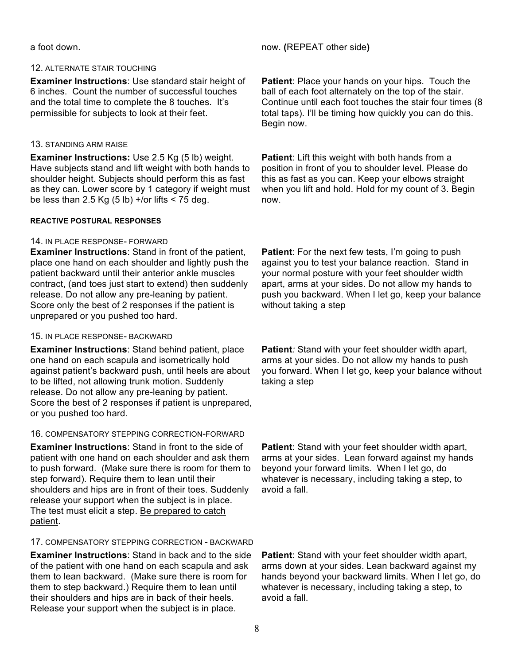## 12. ALTERNATE STAIR TOUCHING

**Examiner Instructions**: Use standard stair height of 6 inches. Count the number of successful touches and the total time to complete the 8 touches. It's permissible for subjects to look at their feet.

## 13. STANDING ARM RAISE

**Examiner Instructions:** Use 2.5 Kg (5 lb) weight. Have subjects stand and lift weight with both hands to shoulder height. Subjects should perform this as fast as they can. Lower score by 1 category if weight must be less than 2.5 Kg  $(5 lb) +$ /or lifts < 75 deg.

## **REACTIVE POSTURAL RESPONSES**

## 14. IN PLACE RESPONSE- FORWARD

**Examiner Instructions**: Stand in front of the patient, place one hand on each shoulder and lightly push the patient backward until their anterior ankle muscles contract, (and toes just start to extend) then suddenly release. Do not allow any pre-leaning by patient. Score only the best of 2 responses if the patient is unprepared or you pushed too hard.

## 15. IN PLACE RESPONSE- BACKWARD

**Examiner Instructions**: Stand behind patient, place one hand on each scapula and isometrically hold against patient's backward push, until heels are about to be lifted, not allowing trunk motion. Suddenly release. Do not allow any pre-leaning by patient. Score the best of 2 responses if patient is unprepared, or you pushed too hard.

## 16. COMPENSATORY STEPPING CORRECTION-FORWARD

**Examiner Instructions**: Stand in front to the side of patient with one hand on each shoulder and ask them to push forward. (Make sure there is room for them to step forward). Require them to lean until their shoulders and hips are in front of their toes. Suddenly release your support when the subject is in place. The test must elicit a step. Be prepared to catch patient.

# 17. COMPENSATORY STEPPING CORRECTION - BACKWARD

**Examiner Instructions**: Stand in back and to the side of the patient with one hand on each scapula and ask them to lean backward. (Make sure there is room for them to step backward.) Require them to lean until their shoulders and hips are in back of their heels. Release your support when the subject is in place.

a foot down. now. **(**REPEAT other side**)**

**Patient**: Place your hands on your hips. Touch the ball of each foot alternately on the top of the stair. Continue until each foot touches the stair four times (8 total taps). I'll be timing how quickly you can do this. Begin now.

**Patient**: Lift this weight with both hands from a position in front of you to shoulder level. Please do this as fast as you can. Keep your elbows straight when you lift and hold. Hold for my count of 3. Begin now.

**Patient:** For the next few tests, I'm going to push against you to test your balance reaction. Stand in your normal posture with your feet shoulder width apart, arms at your sides. Do not allow my hands to push you backward. When I let go, keep your balance without taking a step

**Patient***:* Stand with your feet shoulder width apart, arms at your sides. Do not allow my hands to push you forward. When I let go, keep your balance without taking a step

**Patient**: Stand with your feet shoulder width apart, arms at your sides. Lean forward against my hands beyond your forward limits. When I let go, do whatever is necessary, including taking a step, to avoid a fall.

**Patient**: Stand with your feet shoulder width apart, arms down at your sides. Lean backward against my hands beyond your backward limits. When I let go, do whatever is necessary, including taking a step, to avoid a fall.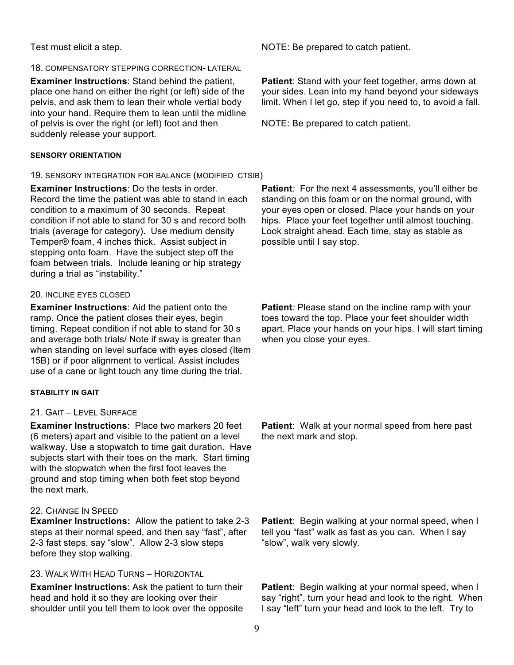### 18. COMPENSATORY STEPPING CORRECTION- LATERAL

**Examiner Instructions**: Stand behind the patient, place one hand on either the right (or left) side of the pelvis, and ask them to lean their whole vertial body into your hand. Require them to lean until the midline of pelvis is over the right (or left) foot and then suddenly release your support.

### **SENSORY ORIENTATION**

## 19. SENSORY INTEGRATION FOR BALANCE (MODIFIED CTSIB)

**Examiner Instructions**: Do the tests in order. Record the time the patient was able to stand in each condition to a maximum of 30 seconds. Repeat condition if not able to stand for 30 s and record both trials (average for category). Use medium density Temper® foam, 4 inches thick. Assist subject in stepping onto foam. Have the subject step off the foam between trials. Include leaning or hip strategy during a trial as "instability."

### 20. INCLINE EYES CLOSED

**Examiner Instructions**: Aid the patient onto the ramp. Once the patient closes their eyes, begin timing. Repeat condition if not able to stand for 30 s and average both trials/ Note if sway is greater than when standing on level surface with eyes closed (Item 15B) or if poor alignment to vertical. Assist includes use of a cane or light touch any time during the trial.

## **STABILITY IN GAIT**

## 21. GAIT – LEVEL SURFACE

**Examiner Instructions**: Place two markers 20 feet (6 meters) apart and visible to the patient on a level walkway. Use a stopwatch to time gait duration. Have subjects start with their toes on the mark. Start timing with the stopwatch when the first foot leaves the ground and stop timing when both feet stop beyond the next mark.

## 22. CHANGE IN SPEED

**Examiner Instructions:** Allow the patient to take 2-3 steps at their normal speed, and then say "fast", after 2-3 fast steps, say "slow". Allow 2-3 slow steps before they stop walking.

# 23. WALK WITH HEAD TURNS – HORIZONTAL

**Examiner Instructions**: Ask the patient to turn their head and hold it so they are looking over their shoulder until you tell them to look over the opposite

Test must elicit a step. NOTE: Be prepared to catch patient.

**Patient**: Stand with your feet together, arms down at your sides. Lean into my hand beyond your sideways limit. When I let go, step if you need to, to avoid a fall.

NOTE: Be prepared to catch patient.

Patient: For the next 4 assessments, you'll either be standing on this foam or on the normal ground, with your eyes open or closed. Place your hands on your hips. Place your feet together until almost touching. Look straight ahead. Each time, stay as stable as possible until I say stop.

**Patient***:* Please stand on the incline ramp with your toes toward the top. Place your feet shoulder width apart. Place your hands on your hips. I will start timing when you close your eyes.

**Patient**: Walk at your normal speed from here past the next mark and stop.

**Patient**: Begin walking at your normal speed, when I tell you "fast" walk as fast as you can. When I say "slow", walk very slowly.

**Patient**: Begin walking at your normal speed, when I say "right", turn your head and look to the right. When I say "left" turn your head and look to the left. Try to